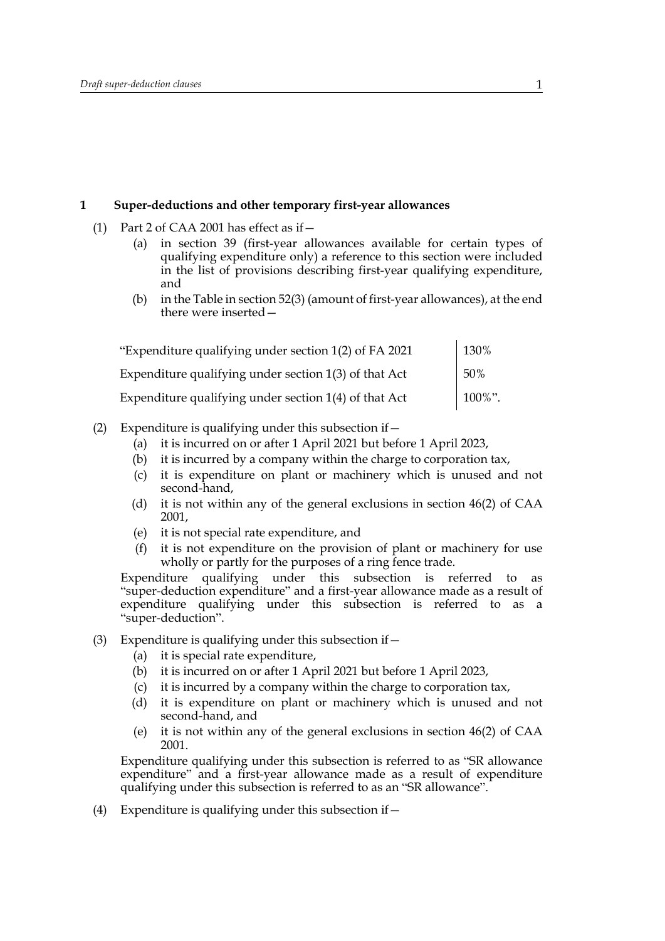## <span id="page-0-0"></span>**1 Super-deductions and other temporary first-year allowances**

- (1) Part 2 of CAA 2001 has effect as if  $-$ 
	- (a) in section 39 (first-year allowances available for certain types of qualifying expenditure only) a reference to this section were included in the list of provisions describing first-year qualifying expenditure, and
	- (b) in the Table in section 52(3) (amount of first-year allowances), at the end there were inserted—

<span id="page-0-6"></span>

| "Expenditure qualifying under section 1(2) of FA 2021 | 130%   |
|-------------------------------------------------------|--------|
| Expenditure qualifying under section 1(3) of that Act | 50%    |
| Expenditure qualifying under section 1(4) of that Act | 100%". |

# <span id="page-0-4"></span><span id="page-0-1"></span>(2) Expenditure is qualifying under this subsection if  $-$

- (a) it is incurred on or after 1 April 2021 but before 1 April 2023,
- (b) it is incurred by a company within the charge to corporation tax,
- (c) it is expenditure on plant or machinery which is unused and not second-hand,
- (d) it is not within any of the general exclusions in section 46(2) of CAA 2001,
- (e) it is not special rate expenditure, and
- (f) it is not expenditure on the provision of plant or machinery for use wholly or partly for the purposes of a ring fence trade.

Expenditure qualifying under this subsection is referred to as "super-deduction expenditure" and a first-year allowance made as a result of expenditure qualifying under this subsection is referred to as a "super-deduction".

- <span id="page-0-5"></span><span id="page-0-2"></span>(3) Expenditure is qualifying under this subsection if—
	- (a) it is special rate expenditure,
	- (b) it is incurred on or after 1 April 2021 but before 1 April 2023,
	- (c) it is incurred by a company within the charge to corporation tax,
	- (d) it is expenditure on plant or machinery which is unused and not second-hand, and
	- (e) it is not within any of the general exclusions in section 46(2) of CAA 2001.

Expenditure qualifying under this subsection is referred to as "SR allowance expenditure" and a first-year allowance made as a result of expenditure qualifying under this subsection is referred to as an "SR allowance".

<span id="page-0-3"></span>(4) Expenditure is qualifying under this subsection if—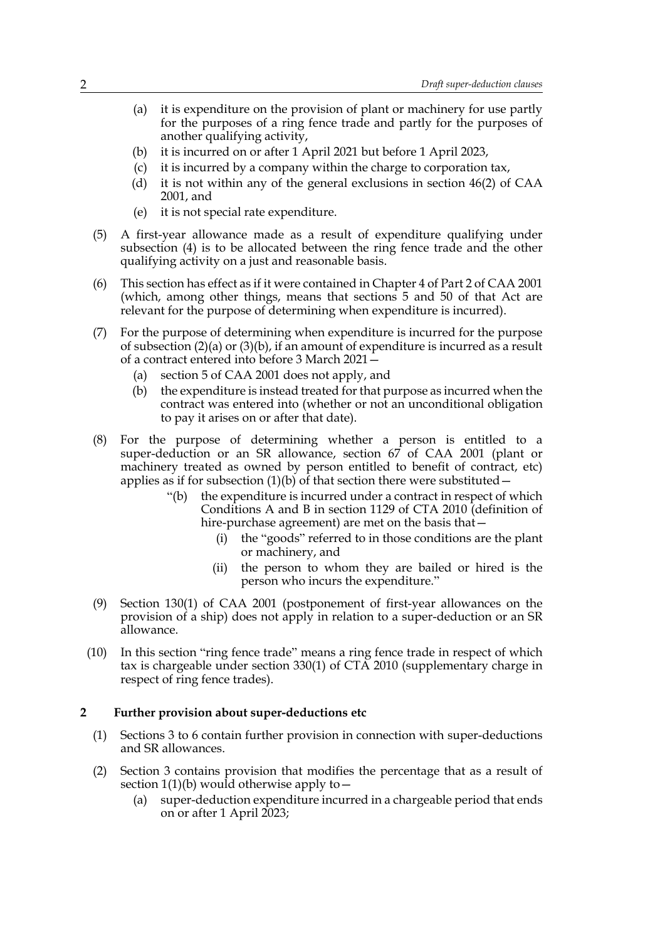- (a) it is expenditure on the provision of plant or machinery for use partly for the purposes of a ring fence trade and partly for the purposes of another qualifying activity,
- (b) it is incurred on or after 1 April 2021 but before 1 April 2023,
- (c) it is incurred by a company within the charge to corporation tax,
- (d) it is not within any of the general exclusions in section 46(2) of CAA 2001, and
- (e) it is not special rate expenditure.
- (5) A first-year allowance made as a result of expenditure qualifying under subsection [\(4\)](#page-0-3) is to be allocated between the ring fence trade and the other qualifying activity on a just and reasonable basis.
- (6) This section has effect as if it were contained in Chapter 4 of Part 2 of CAA 2001 (which, among other things, means that sections 5 and 50 of that Act are relevant for the purpose of determining when expenditure is incurred).
- (7) For the purpose of determining when expenditure is incurred for the purpose of subsection [\(2\)\(a\)](#page-0-4) or [\(3\)\(b\),](#page-0-5) if an amount of expenditure is incurred as a result of a contract entered into before 3 March 2021—
	- (a) section 5 of CAA 2001 does not apply, and
	- (b) the expenditure is instead treated for that purpose as incurred when the contract was entered into (whether or not an unconditional obligation to pay it arises on or after that date).
- (8) For the purpose of determining whether a person is entitled to a super-deduction or an SR allowance, section 67 of CAA 2001 (plant or machinery treated as owned by person entitled to benefit of contract, etc) applies as if for subsection (1)(b) of that section there were substituted  $-$ 
	- "(b) the expenditure is incurred under a contract in respect of which Conditions A and B in section 1129 of CTA 2010 (definition of hire-purchase agreement) are met on the basis that—
		- (i) the "goods" referred to in those conditions are the plant or machinery, and
		- (ii) the person to whom they are bailed or hired is the person who incurs the expenditure."
- (9) Section 130(1) of CAA 2001 (postponement of first-year allowances on the provision of a ship) does not apply in relation to a super-deduction or an SR allowance.
- (10) In this section "ring fence trade" means a ring fence trade in respect of which tax is chargeable under section 330(1) of CTA 2010 (supplementary charge in respect of ring fence trades).

### **2 Further provision about super-deductions etc**

- (1) [Sections 3 to](#page-2-0) [6 contain further provision in connection with super-deductions](#page-4-0) [and SR allowances.](#page-4-0)
- (2) [Section 3 contains provision that modifies the percentage that as a result of](#page-2-0) [section](#page-2-0)  $1(1)(b)$  would otherwise apply to  $-$ 
	- (a) super-deduction expenditure incurred in a chargeable period that ends on or after 1 April 2023;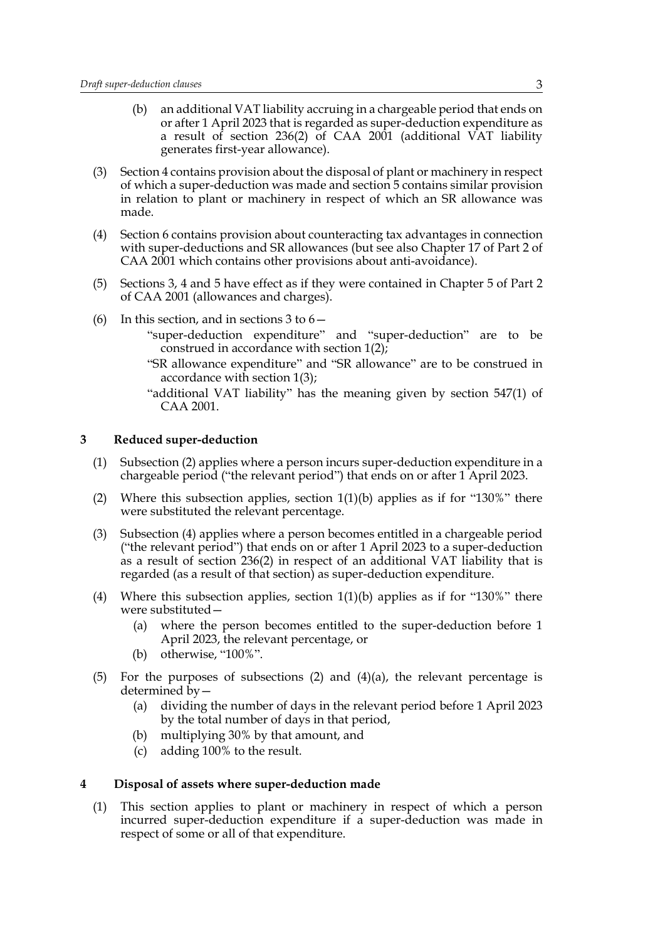- (b) an additional VAT liability accruing in a chargeable period that ends on or after 1 April 2023 that is regarded as super-deduction expenditure as a result of section 236(2) of CAA 2001 (additional VAT liability generates first-year allowance).
- (3) [Section 4 contains provision about the disposal of plant or machinery in respect](#page-2-1) [of which a super-deduction was made and section](#page-2-1) [5 contains similar provision](#page-4-1) [in relation to plant or machinery in respect of which an SR allowance was](#page-4-1) made.
- [\(4\) Section 6 contains provision about counteracting tax advantages in connection](#page-4-0) with super-deductions and SR allowances (but see also Chapter 17 of Part 2 of CAA 2001 which contains other provisions about anti-avoidance).
- (5) [Sections 3,](#page-2-0) [4 and](#page-2-1) [5 have effect as if they were contained in Chapter 5 of Part 2](#page-4-1) [of CAA 2001 \(allowances and charges\).](#page-4-1)
- (6) In this section, and in sections  $3 \text{ to } 6$  -
	- ["super-deduction expenditure" and "super-deduction" are to be](#page-0-0) construed in accordance with section 1[\(2\);](#page-0-1)
	- ["SR allowance expenditure" and "SR allowance" are to be construed in](#page-0-0) accordance with section [1\(3\)](#page-0-2);
	- "additional VAT liability" has the meaning given by section 547(1) of CAA 2001.

#### <span id="page-2-0"></span>**3 Reduced super-deduction**

- (1) Subsection [\(2\)](#page-2-2) applies where a person incurs super-deduction expenditure in a chargeable period ("the relevant period") that ends on or after 1 April 2023.
- <span id="page-2-2"></span>(2) Where this subsection applies, section  $1(1)(b)$  applies as if for "130%" there were substituted the relevant percentage.
- (3) Subsection [\(4\)](#page-2-3) applies where a person becomes entitled in a chargeable period ("the relevant period") that ends on or after 1 April 2023 to a super-deduction as a result of section 236(2) in respect of an additional VAT liability that is regarded (as a result of that section) as super-deduction expenditure.
- <span id="page-2-4"></span><span id="page-2-3"></span>(4) Where this subsection applies, section  $1(1)(b)$  applies as if for "130%" there were substituted—
	- (a) where the person becomes entitled to the super-deduction before 1 April 2023, the relevant percentage, or
	- (b) otherwise, "100%".
- (5) For the purposes of subsections [\(2\)](#page-2-2) and [\(4\)\(a\)](#page-2-4), the relevant percentage is determined by—
	- (a) dividing the number of days in the relevant period before 1 April 2023 by the total number of days in that period,
	- (b) multiplying 30% by that amount, and
	- (c) adding 100% to the result.

#### <span id="page-2-1"></span>**4 Disposal of assets where super-deduction made**

(1) This section applies to plant or machinery in respect of which a person incurred super-deduction expenditure if a super-deduction was made in respect of some or all of that expenditure.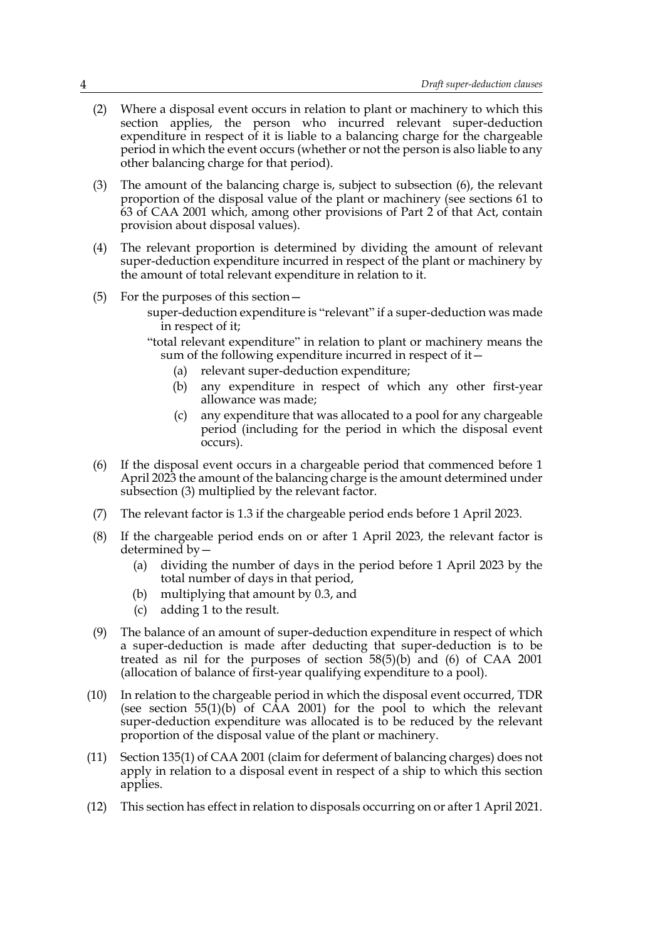- (2) Where a disposal event occurs in relation to plant or machinery to which this section applies, the person who incurred relevant super-deduction expenditure in respect of it is liable to a balancing charge for the chargeable period in which the event occurs (whether or not the person is also liable to any other balancing charge for that period).
- <span id="page-3-1"></span>(3) The amount of the balancing charge is, subject to subsection [\(6\)](#page-3-0), the relevant proportion of the disposal value of the plant or machinery (see sections 61 to 63 of CAA 2001 which, among other provisions of Part 2 of that Act, contain provision about disposal values).
- (4) The relevant proportion is determined by dividing the amount of relevant super-deduction expenditure incurred in respect of the plant or machinery by the amount of total relevant expenditure in relation to it.
- (5) For the purposes of this section
	- super-deduction expenditure is "relevant" if a super-deduction was made in respect of it;
	- "total relevant expenditure" in relation to plant or machinery means the sum of the following expenditure incurred in respect of it—
		- (a) relevant super-deduction expenditure;
		- (b) any expenditure in respect of which any other first-year allowance was made;
		- (c) any expenditure that was allocated to a pool for any chargeable period (including for the period in which the disposal event occurs).
- <span id="page-3-0"></span>(6) If the disposal event occurs in a chargeable period that commenced before 1 April 2023 the amount of the balancing charge is the amount determined under subsection [\(3\)](#page-3-1) multiplied by the relevant factor.
- (7) The relevant factor is 1.3 if the chargeable period ends before 1 April 2023.
- (8) If the chargeable period ends on or after 1 April 2023, the relevant factor is determined by—
	- (a) dividing the number of days in the period before 1 April 2023 by the total number of days in that period,
	- (b) multiplying that amount by 0.3, and
	- (c) adding 1 to the result.
- (9) The balance of an amount of super-deduction expenditure in respect of which a super-deduction is made after deducting that super-deduction is to be treated as nil for the purposes of section 58(5)(b) and (6) of CAA 2001 (allocation of balance of first-year qualifying expenditure to a pool).
- (10) In relation to the chargeable period in which the disposal event occurred, TDR (see section 55(1)(b) of CAA 2001) for the pool to which the relevant super-deduction expenditure was allocated is to be reduced by the relevant proportion of the disposal value of the plant or machinery.
- (11) Section 135(1) of CAA 2001 (claim for deferment of balancing charges) does not apply in relation to a disposal event in respect of a ship to which this section applies.
- (12) This section has effect in relation to disposals occurring on or after 1 April 2021.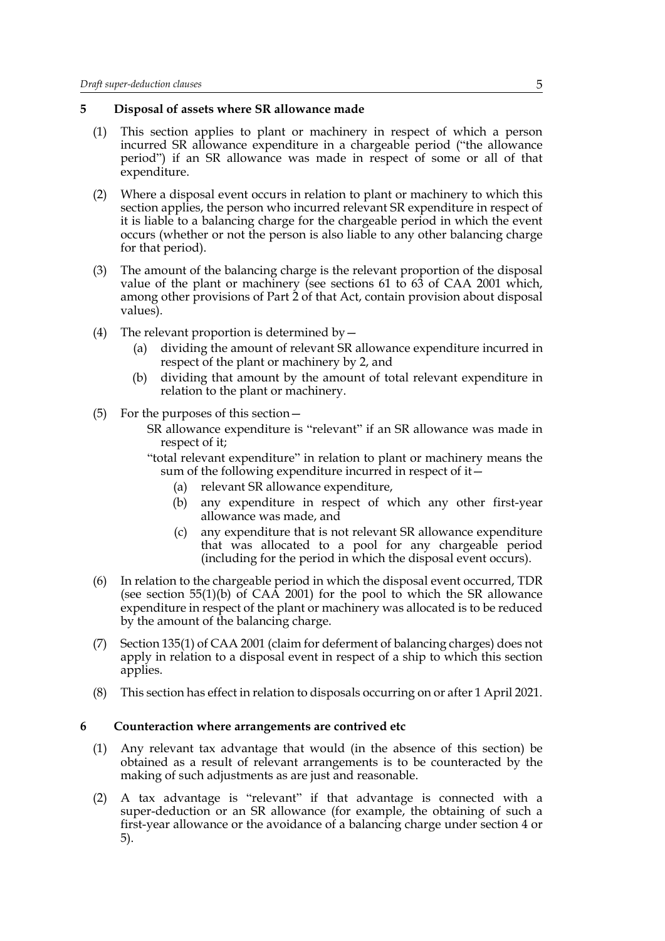# <span id="page-4-1"></span>**5 Disposal of assets where SR allowance made**

- (1) This section applies to plant or machinery in respect of which a person incurred SR allowance expenditure in a chargeable period ("the allowance period") if an SR allowance was made in respect of some or all of that expenditure.
- (2) Where a disposal event occurs in relation to plant or machinery to which this section applies, the person who incurred relevant SR expenditure in respect of it is liable to a balancing charge for the chargeable period in which the event occurs (whether or not the person is also liable to any other balancing charge for that period).
- (3) The amount of the balancing charge is the relevant proportion of the disposal value of the plant or machinery (see sections 61 to 63 of CAA 2001 which, among other provisions of Part 2 of that Act, contain provision about disposal values).
- (4) The relevant proportion is determined by  $-$ 
	- (a) dividing the amount of relevant SR allowance expenditure incurred in respect of the plant or machinery by 2, and
	- (b) dividing that amount by the amount of total relevant expenditure in relation to the plant or machinery.
- (5) For the purposes of this section—
	- SR allowance expenditure is "relevant" if an SR allowance was made in respect of it;
	- "total relevant expenditure" in relation to plant or machinery means the sum of the following expenditure incurred in respect of it—
		- (a) relevant SR allowance expenditure,
		- (b) any expenditure in respect of which any other first-year allowance was made, and
		- (c) any expenditure that is not relevant SR allowance expenditure that was allocated to a pool for any chargeable period (including for the period in which the disposal event occurs).
- (6) In relation to the chargeable period in which the disposal event occurred, TDR (see section 55(1)(b) of CAA 2001) for the pool to which the SR allowance expenditure in respect of the plant or machinery was allocated is to be reduced by the amount of the balancing charge.
- (7) Section 135(1) of CAA 2001 (claim for deferment of balancing charges) does not apply in relation to a disposal event in respect of a ship to which this section applies.
- (8) This section has effect in relation to disposals occurring on or after 1 April 2021.

### <span id="page-4-0"></span>**6 Counteraction where arrangements are contrived etc**

- (1) Any relevant tax advantage that would (in the absence of this section) be obtained as a result of relevant arrangements is to be counteracted by the making of such adjustments as are just and reasonable.
- (2) [A tax advantage is "relevant" if that advantage is connected with a](#page-2-1) super-deduction or an SR allowance (for example, the obtaining of such a [first-year allowance or the avoidance of a balancing charge under section 4 or](#page-2-1) [5\).](#page-4-1)